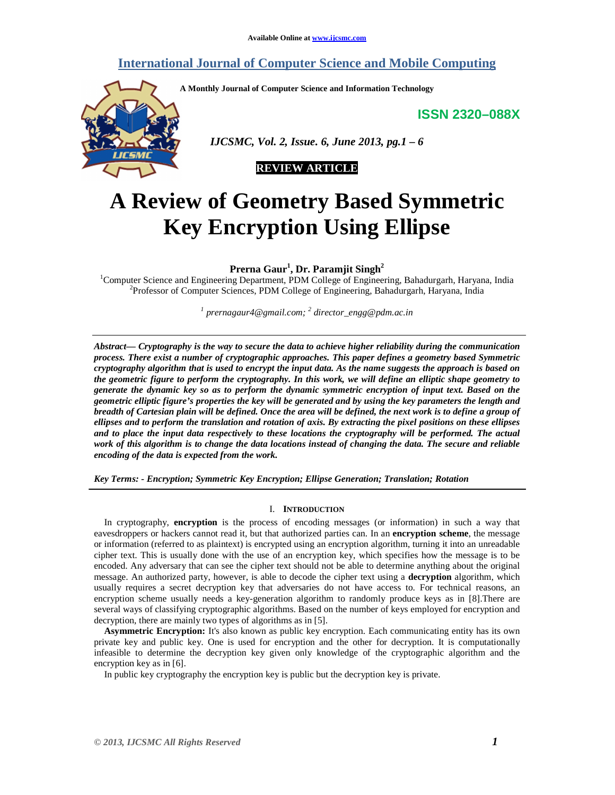# **International Journal of Computer Science and Mobile Computing**

**A Monthly Journal of Computer Science and Information Technology** 

**ISSN 2320–088X**



 *IJCSMC, Vol. 2, Issue. 6, June 2013, pg.1 – 6* 



# **A Review of Geometry Based Symmetric Key Encryption Using Ellipse**

**Prerna Gaur<sup>1</sup> , Dr. Paramjit Singh<sup>2</sup>**

<sup>1</sup>Computer Science and Engineering Department, PDM College of Engineering, Bahadurgarh, Haryana, India 2 Professor of Computer Sciences, PDM College of Engineering, Bahadurgarh, Haryana, India

*1 prernagaur4@gmail.com; <sup>2</sup> director\_engg@pdm.ac.in*

*Abstract— Cryptography is the way to secure the data to achieve higher reliability during the communication process. There exist a number of cryptographic approaches. This paper defines a geometry based Symmetric cryptography algorithm that is used to encrypt the input data. As the name suggests the approach is based on the geometric figure to perform the cryptography. In this work, we will define an elliptic shape geometry to generate the dynamic key so as to perform the dynamic symmetric encryption of input text. Based on the geometric elliptic figure's properties the key will be generated and by using the key parameters the length and breadth of Cartesian plain will be defined. Once the area will be defined, the next work is to define a group of ellipses and to perform the translation and rotation of axis. By extracting the pixel positions on these ellipses and to place the input data respectively to these locations the cryptography will be performed. The actual work of this algorithm is to change the data locations instead of changing the data. The secure and reliable encoding of the data is expected from the work.* 

*Key Terms: - Encryption; Symmetric Key Encryption; Ellipse Generation; Translation; Rotation* 

## I. **INTRODUCTION**

In cryptography, **encryption** is the process of encoding messages (or information) in such a way that eavesdroppers or hackers cannot read it, but that authorized parties can. In an **encryption scheme**, the message or information (referred to as plaintext) is encrypted using an encryption algorithm, turning it into an unreadable cipher text. This is usually done with the use of an encryption key, which specifies how the message is to be encoded. Any adversary that can see the cipher text should not be able to determine anything about the original message. An authorized party, however, is able to decode the cipher text using a **decryption** algorithm, which usually requires a secret decryption key that adversaries do not have access to. For technical reasons, an encryption scheme usually needs a key-generation algorithm to randomly produce keys as in [8].There are several ways of classifying cryptographic algorithms. Based on the number of keys employed for encryption and decryption, there are mainly two types of algorithms as in [5].

**Asymmetric Encryption:** It's also known as public key encryption. Each communicating entity has its own private key and public key. One is used for encryption and the other for decryption. It is computationally infeasible to determine the decryption key given only knowledge of the cryptographic algorithm and the encryption key as in [6].

In public key cryptography the encryption key is public but the decryption key is private.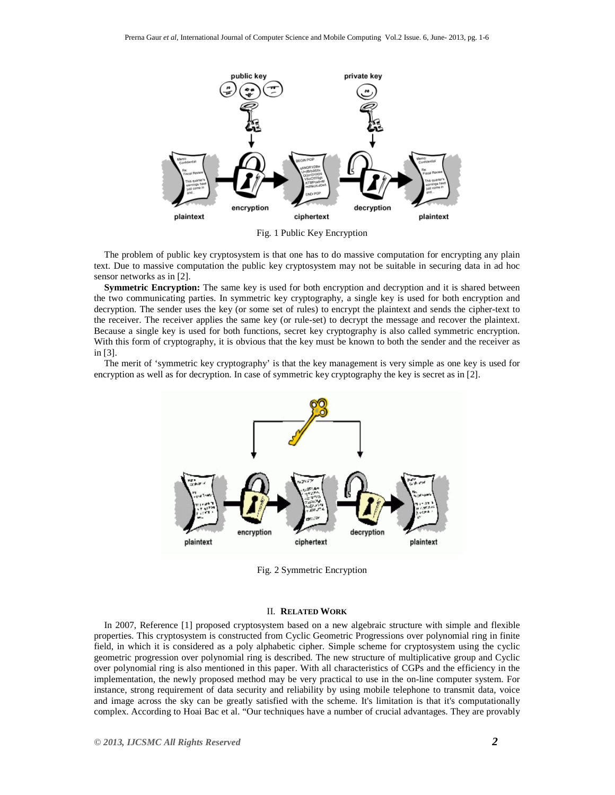

Fig. 1 Public Key Encryption

The problem of public key cryptosystem is that one has to do massive computation for encrypting any plain text. Due to massive computation the public key cryptosystem may not be suitable in securing data in ad hoc sensor networks as in [2].

**Symmetric Encryption:** The same key is used for both encryption and decryption and it is shared between the two communicating parties. In symmetric key cryptography, a single key is used for both encryption and decryption. The sender uses the key (or some set of rules) to encrypt the plaintext and sends the cipher-text to the receiver. The receiver applies the same key (or rule-set) to decrypt the message and recover the plaintext. Because a single key is used for both functions, secret key cryptography is also called symmetric encryption. With this form of cryptography, it is obvious that the key must be known to both the sender and the receiver as in [3].

The merit of 'symmetric key cryptography' is that the key management is very simple as one key is used for encryption as well as for decryption. In case of symmetric key cryptography the key is secret as in [2].



Fig. 2 Symmetric Encryption

#### II. **RELATED WORK**

In 2007, Reference [1] proposed cryptosystem based on a new algebraic structure with simple and flexible properties. This cryptosystem is constructed from Cyclic Geometric Progressions over polynomial ring in finite field, in which it is considered as a poly alphabetic cipher. Simple scheme for cryptosystem using the cyclic geometric progression over polynomial ring is described. The new structure of multiplicative group and Cyclic over polynomial ring is also mentioned in this paper. With all characteristics of CGPs and the efficiency in the implementation, the newly proposed method may be very practical to use in the on-line computer system. For instance, strong requirement of data security and reliability by using mobile telephone to transmit data, voice and image across the sky can be greatly satisfied with the scheme. It's limitation is that it's computationally complex. According to Hoai Bac et al. "Our techniques have a number of crucial advantages. They are provably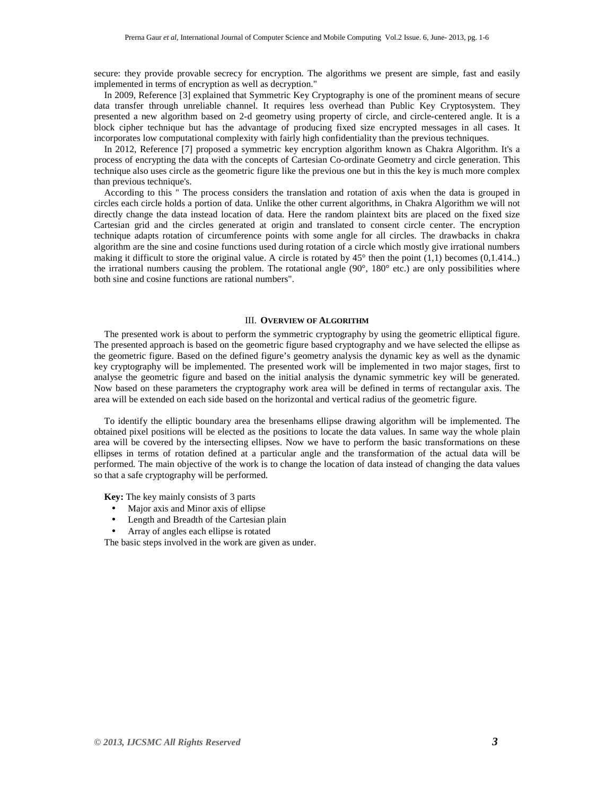secure: they provide provable secrecy for encryption. The algorithms we present are simple, fast and easily implemented in terms of encryption as well as decryption."

In 2009, Reference [3] explained that Symmetric Key Cryptography is one of the prominent means of secure data transfer through unreliable channel. It requires less overhead than Public Key Cryptosystem. They presented a new algorithm based on 2-d geometry using property of circle, and circle-centered angle. It is a block cipher technique but has the advantage of producing fixed size encrypted messages in all cases. It incorporates low computational complexity with fairly high confidentiality than the previous techniques.

In 2012, Reference [7] proposed a symmetric key encryption algorithm known as Chakra Algorithm. It's a process of encrypting the data with the concepts of Cartesian Co-ordinate Geometry and circle generation. This technique also uses circle as the geometric figure like the previous one but in this the key is much more complex than previous technique's.

According to this " The process considers the translation and rotation of axis when the data is grouped in circles each circle holds a portion of data. Unlike the other current algorithms, in Chakra Algorithm we will not directly change the data instead location of data. Here the random plaintext bits are placed on the fixed size Cartesian grid and the circles generated at origin and translated to consent circle center. The encryption technique adapts rotation of circumference points with some angle for all circles. The drawbacks in chakra algorithm are the sine and cosine functions used during rotation of a circle which mostly give irrational numbers making it difficult to store the original value. A circle is rotated by  $45^{\circ}$  then the point (1,1) becomes (0,1.414..) the irrational numbers causing the problem. The rotational angle  $(90^\circ, 180^\circ \text{ etc.})$  are only possibilities where both sine and cosine functions are rational numbers".

### III. **OVERVIEW OF ALGORITHM**

The presented work is about to perform the symmetric cryptography by using the geometric elliptical figure. The presented approach is based on the geometric figure based cryptography and we have selected the ellipse as the geometric figure. Based on the defined figure's geometry analysis the dynamic key as well as the dynamic key cryptography will be implemented. The presented work will be implemented in two major stages, first to analyse the geometric figure and based on the initial analysis the dynamic symmetric key will be generated. Now based on these parameters the cryptography work area will be defined in terms of rectangular axis. The area will be extended on each side based on the horizontal and vertical radius of the geometric figure.

To identify the elliptic boundary area the bresenhams ellipse drawing algorithm will be implemented. The obtained pixel positions will be elected as the positions to locate the data values. In same way the whole plain area will be covered by the intersecting ellipses. Now we have to perform the basic transformations on these ellipses in terms of rotation defined at a particular angle and the transformation of the actual data will be performed. The main objective of the work is to change the location of data instead of changing the data values so that a safe cryptography will be performed.

**Key:** The key mainly consists of 3 parts

- Major axis and Minor axis of ellipse
- Length and Breadth of the Cartesian plain
- Array of angles each ellipse is rotated

The basic steps involved in the work are given as under.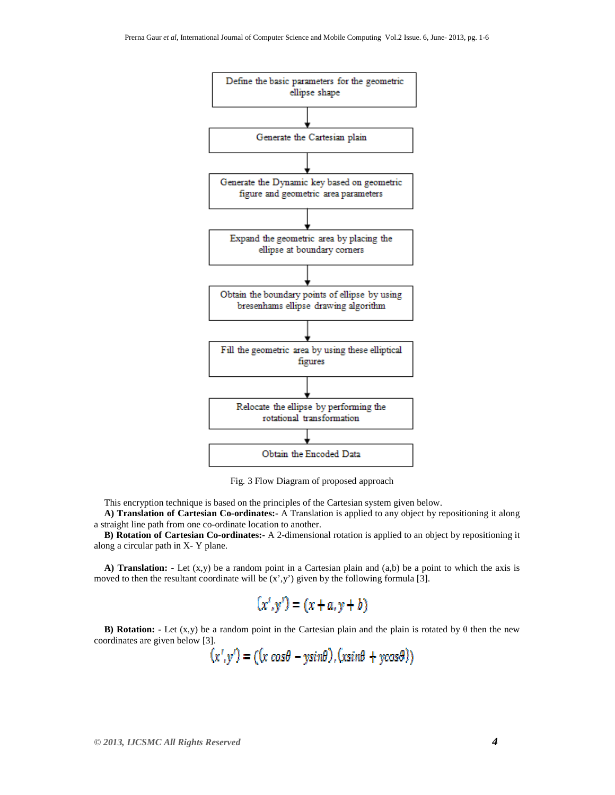

Fig. 3 Flow Diagram of proposed approach

This encryption technique is based on the principles of the Cartesian system given below.

**A) Translation of Cartesian Co-ordinates:-** A Translation is applied to any object by repositioning it along a straight line path from one co-ordinate location to another.

**B) Rotation of Cartesian Co-ordinates:-** A 2-dimensional rotation is applied to an object by repositioning it along a circular path in X- Y plane.

**A) Translation: -** Let (x,y) be a random point in a Cartesian plain and (a,b) be a point to which the axis is moved to then the resultant coordinate will be (x',y') given by the following formula [3].

$$
(x',y')=(x+a,y+b)
$$

**B) Rotation:** - Let  $(x,y)$  be a random point in the Cartesian plain and the plain is rotated by  $\theta$  then the new coordinates are given below [3].

$$
(x',y') = ( (x \cos\theta - y\sin\theta), (x\sin\theta + y\cos\theta))
$$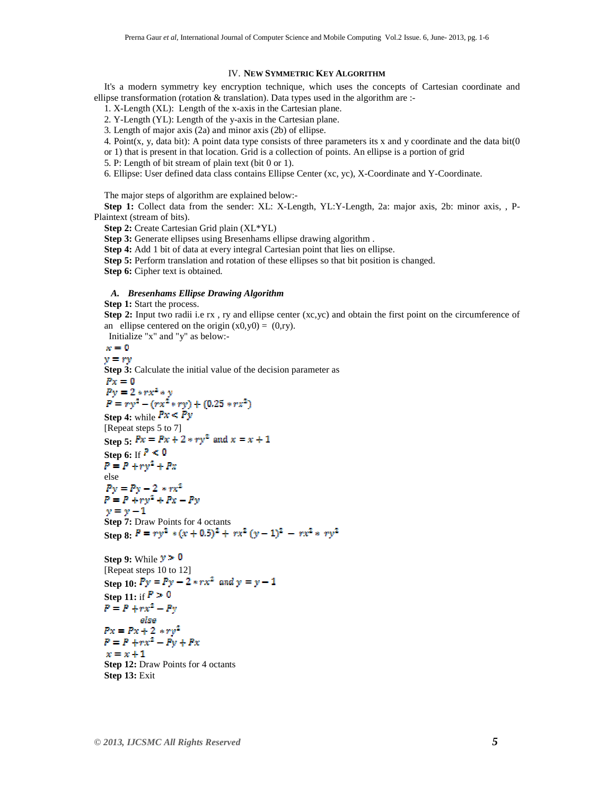#### IV. **NEW SYMMETRIC KEY ALGORITHM**

It's a modern symmetry key encryption technique, which uses the concepts of Cartesian coordinate and ellipse transformation (rotation & translation). Data types used in the algorithm are :-

1. X-Length (XL): Length of the x-axis in the Cartesian plane.

2. Y-Length (YL): Length of the y-axis in the Cartesian plane.

3. Length of major axis (2a) and minor axis (2b) of ellipse.

4. Point(x, y, data bit): A point data type consists of three parameters its x and y coordinate and the data bit(0

or 1) that is present in that location. Grid is a collection of points. An ellipse is a portion of grid

5. P: Length of bit stream of plain text (bit 0 or 1).

6. Ellipse: User defined data class contains Ellipse Center (xc, yc), X-Coordinate and Y-Coordinate.

The major steps of algorithm are explained below:-

**Step 1:** Collect data from the sender: XL: X-Length, YL:Y-Length, 2a: major axis, 2b: minor axis, , P-Plaintext (stream of bits).

**Step 2:** Create Cartesian Grid plain (XL\*YL)

**Step 3:** Generate ellipses using Bresenhams ellipse drawing algorithm.

**Step 4:** Add 1 bit of data at every integral Cartesian point that lies on ellipse.

Step 5: Perform translation and rotation of these ellipses so that bit position is changed.

**Step 6:** Cipher text is obtained.

## *A. Bresenhams Ellipse Drawing Algorithm*

**Step 1:** Start the process.

**Step 2:** Input two radii i.e rx, ry and ellipse center (xc,yc) and obtain the first point on the circumference of an ellipse centered on the origin  $(x0,y0) = (0,ry)$ .

Initialize "x" and "y" as below:-

 $x = 0$  $y = ry$ **Step 3:** Calculate the initial value of the decision parameter as  $Px = 0$  $Py = 2 \cdot rx^2 \cdot y$  $P = ry^2 - (rx^2 * ry) + (0.25 * rx^2)$ **Step 4:** while  $Px < Py$ [Repeat steps 5 to 7] Step 5:  $Px = Px + 2 * ry^2$  and  $x = x + 1$ **Step 6:** If  $P < 0$ <br>**P** = **P** + ry<sup>2</sup> + **P**x else<br> $Py = Py - 2 * rx^2$  $P = P + ry^2 + Px - Py$  $y = y - 1$ **Step 7:** Draw Points for 4 octants Step 8:  $P = ry^2$  \*  $(x + 0.5)^2 + rx^2 (y - 1)^2 - rx^2$  \*  $ry^2$ 

**Step 9:** While  $y > 0$ [Repeat steps 10 to 12] **Step 10:**  $Py = Py - 2 * rx^2$  and  $y = y - 1$ **Step 11:** if  $P > 0$ <br> $P = P + rx^2 - Py$ dsa  $Px = Px + 2 \cdot ry^2$  $P = P + rx^2 - Py + Px$  $x = x + 1$ **Step 12:** Draw Points for 4 octants **Step 13:** Exit